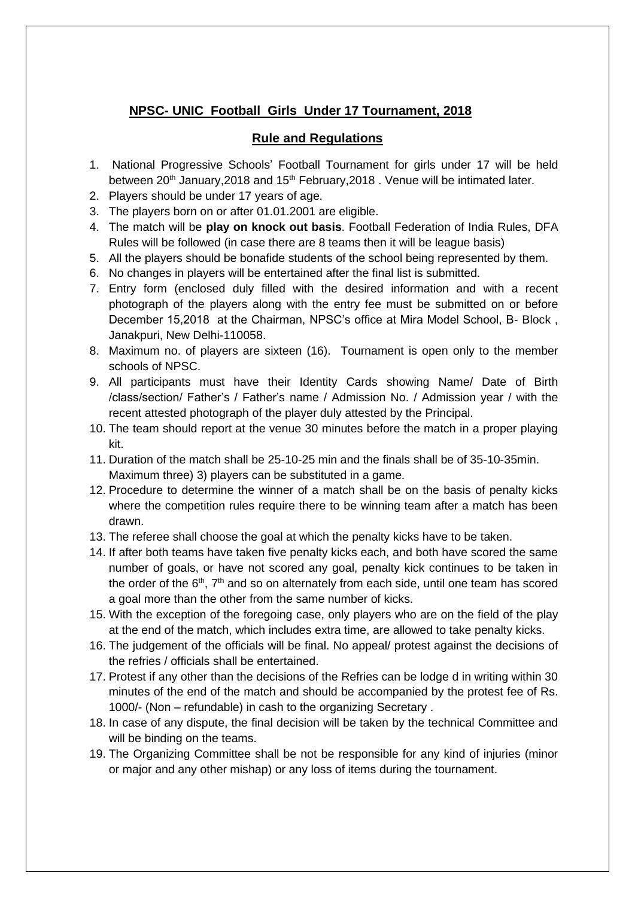## **NPSC- UNIC Football Girls Under 17 Tournament, 2018**

## **Rule and Regulations**

- 1. National Progressive Schools' Football Tournament for girls under 17 will be held between  $20<sup>th</sup>$  January, 2018 and  $15<sup>th</sup>$  February, 2018 . Venue will be intimated later.
- 2. Players should be under 17 years of age.
- 3. The players born on or after 01.01.2001 are eligible.
- 4. The match will be **play on knock out basis**. Football Federation of India Rules, DFA Rules will be followed (in case there are 8 teams then it will be league basis)
- 5. All the players should be bonafide students of the school being represented by them.
- 6. No changes in players will be entertained after the final list is submitted.
- 7. Entry form (enclosed duly filled with the desired information and with a recent photograph of the players along with the entry fee must be submitted on or before December 15,2018 at the Chairman, NPSC's office at Mira Model School, B- Block , Janakpuri, New Delhi-110058.
- 8. Maximum no. of players are sixteen (16). Tournament is open only to the member schools of NPSC.
- 9. All participants must have their Identity Cards showing Name/ Date of Birth /class/section/ Father's / Father's name / Admission No. / Admission year / with the recent attested photograph of the player duly attested by the Principal.
- 10. The team should report at the venue 30 minutes before the match in a proper playing kit.
- 11. Duration of the match shall be 25-10-25 min and the finals shall be of 35-10-35min. Maximum three) 3) players can be substituted in a game.
- 12. Procedure to determine the winner of a match shall be on the basis of penalty kicks where the competition rules require there to be winning team after a match has been drawn.
- 13. The referee shall choose the goal at which the penalty kicks have to be taken.
- 14. If after both teams have taken five penalty kicks each, and both have scored the same number of goals, or have not scored any goal, penalty kick continues to be taken in the order of the 6<sup>th</sup>, 7<sup>th</sup> and so on alternately from each side, until one team has scored a goal more than the other from the same number of kicks.
- 15. With the exception of the foregoing case, only players who are on the field of the play at the end of the match, which includes extra time, are allowed to take penalty kicks.
- 16. The judgement of the officials will be final. No appeal/ protest against the decisions of the refries / officials shall be entertained.
- 17. Protest if any other than the decisions of the Refries can be lodge d in writing within 30 minutes of the end of the match and should be accompanied by the protest fee of Rs. 1000/- (Non – refundable) in cash to the organizing Secretary .
- 18. In case of any dispute, the final decision will be taken by the technical Committee and will be binding on the teams.
- 19. The Organizing Committee shall be not be responsible for any kind of injuries (minor or major and any other mishap) or any loss of items during the tournament.